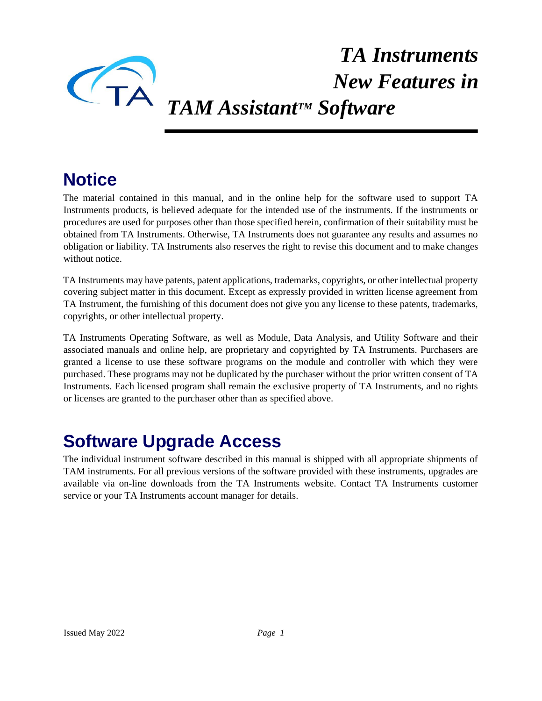

# *TA Instruments New Features in TAM AssistantTM Software*

# **Notice**

The material contained in this manual, and in the online help for the software used to support TA Instruments products, is believed adequate for the intended use of the instruments. If the instruments or procedures are used for purposes other than those specified herein, confirmation of their suitability must be obtained from TA Instruments. Otherwise, TA Instruments does not guarantee any results and assumes no obligation or liability. TA Instruments also reserves the right to revise this document and to make changes without notice

TA Instruments may have patents, patent applications, trademarks, copyrights, or other intellectual property covering subject matter in this document. Except as expressly provided in written license agreement from TA Instrument, the furnishing of this document does not give you any license to these patents, trademarks, copyrights, or other intellectual property.

TA Instruments Operating Software, as well as Module, Data Analysis, and Utility Software and their associated manuals and online help, are proprietary and copyrighted by TA Instruments. Purchasers are granted a license to use these software programs on the module and controller with which they were purchased. These programs may not be duplicated by the purchaser without the prior written consent of TA Instruments. Each licensed program shall remain the exclusive property of TA Instruments, and no rights or licenses are granted to the purchaser other than as specified above.

### **Software Upgrade Access**

The individual instrument software described in this manual is shipped with all appropriate shipments of TAM instruments. For all previous versions of the software provided with these instruments, upgrades are available via on-line downloads from the TA Instruments website. Contact TA Instruments customer service or your TA Instruments account manager for details.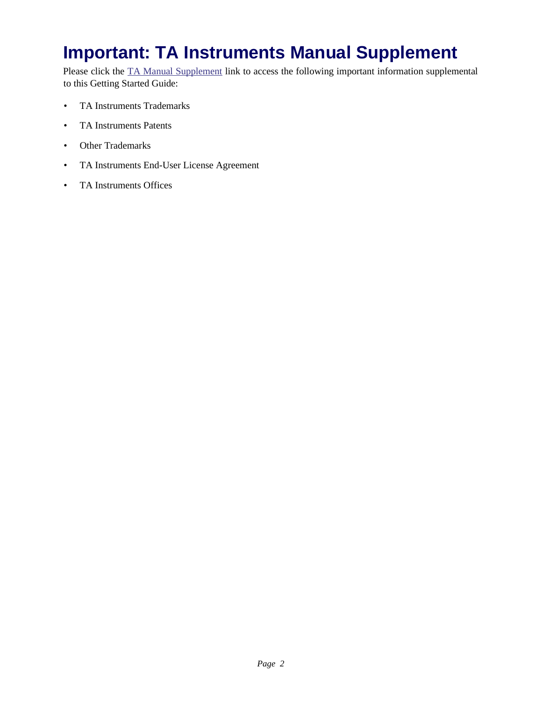# **Important: TA Instruments Manual Supplement**

Please click the TA Manual Supplement link to access the following important information supplemental to this Getting Started Guide:

- TA Instruments Trademarks
- TA Instruments Patents
- Other Trademarks
- TA Instruments End-User License Agreement
- TA Instruments Offices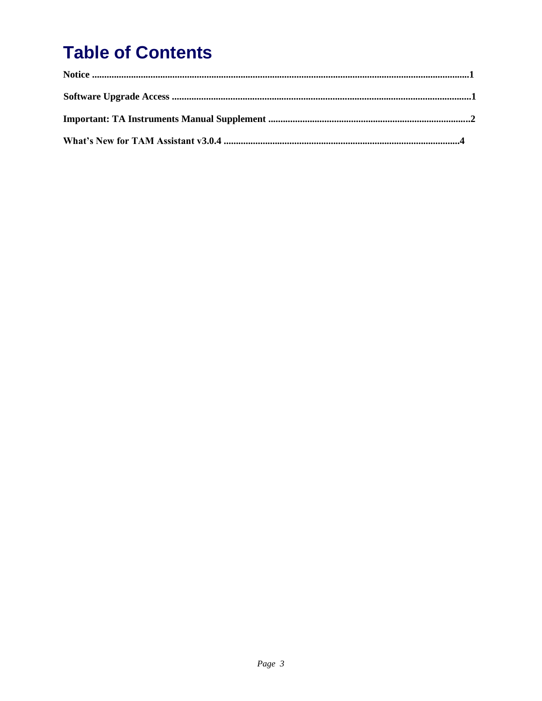# **Table of Contents**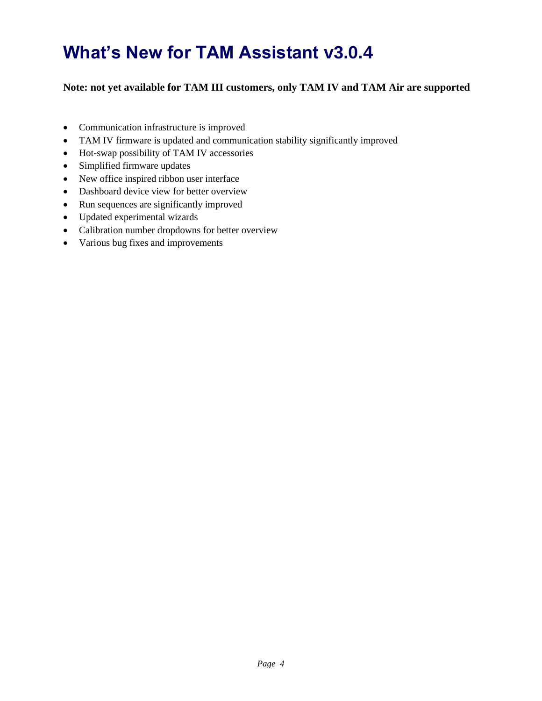# **What's New for TAM Assistant v3.0.4**

#### **Note: not yet available for TAM III customers, only TAM IV and TAM Air are supported**

- Communication infrastructure is improved
- TAM IV firmware is updated and communication stability significantly improved
- Hot-swap possibility of TAM IV accessories
- Simplified firmware updates
- New office inspired ribbon user interface
- Dashboard device view for better overview
- Run sequences are significantly improved
- Updated experimental wizards
- Calibration number dropdowns for better overview
- Various bug fixes and improvements